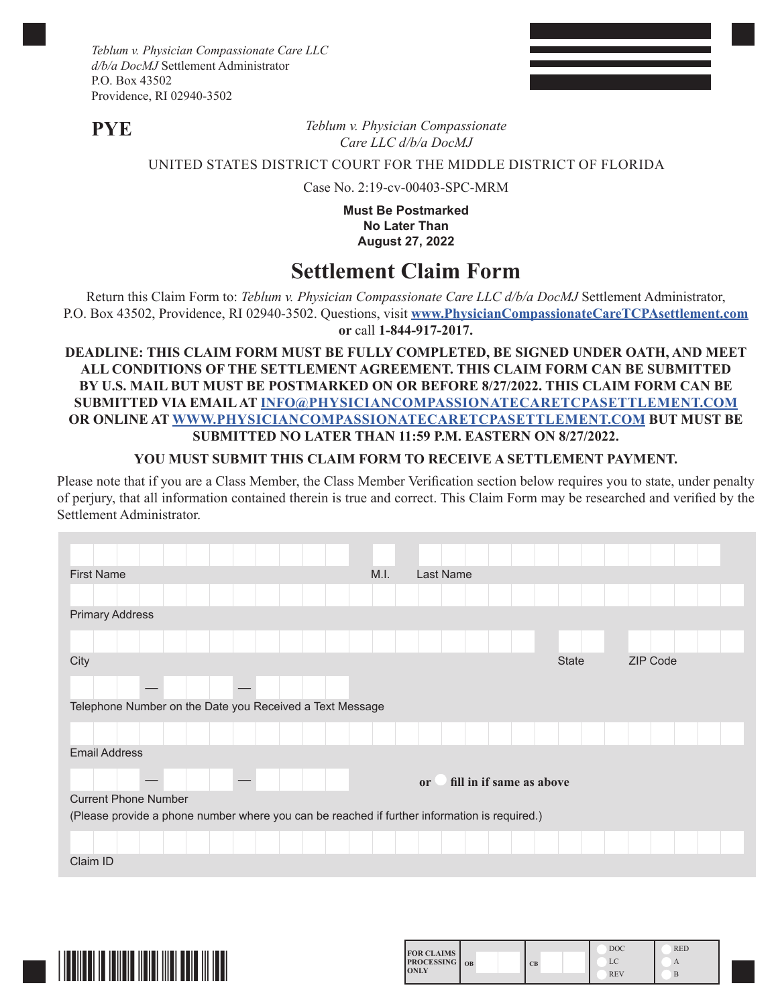*Teblum v. Physician Compassionate Care LLC d/b/a DocMJ* Settlement Administrator P.O. Box 43502 Providence, RI 02940-3502

**PYE**

*Teblum v. Physician Compassionate Care LLC d/b/a DocMJ*

## UNITED STATES DISTRICT COURT FOR THE MIDDLE DISTRICT OF FLORIDA

Case No. 2:19-cv-00403-SPC-MRM

**Must Be Postmarked No Later Than August 27, 2022**

# **Settlement Claim Form**

Return this Claim Form to: *Teblum v. Physician Compassionate Care LLC d/b/a DocMJ* Settlement Administrator, P.O. Box 43502, Providence, RI 02940-3502. Questions, visit **www.PhysicianCompassionateCareTCPAsettlement.com or** call **1-844-917-2017.**

#### **DEADLINE: THIS CLAIM FORM MUST BE FULLY COMPLETED, BE SIGNED UNDER OATH, AND MEET ALL CONDITIONS OF THE SETTLEMENT AGREEMENT. THIS CLAIM FORM CAN BE SUBMITTED BY U.S. MAIL BUT MUST BE POSTMARKED ON OR BEFORE 8/27/2022. THIS CLAIM FORM CAN BE SUBMITTED VIA EMAIL AT INFO@PHYSICIANCOMPASSIONATECARETCPASETTLEMENT.COM OR ONLINE AT WWW.PHYSICIANCOMPASSIONATECARETCPASETTLEMENT.COM BUT MUST BE SUBMITTED NO LATER THAN 11:59 P.M. EASTERN ON 8/27/2022.**

### **YOU MUST SUBMIT THIS CLAIM FORM TO RECEIVE A SETTLEMENT PAYMENT.**

Please note that if you are a Class Member, the Class Member Verification section below requires you to state, under penalty of perjury, that all information contained therein is true and correct. This Claim Form may be researched and verified by the Settlement Administrator.

| <b>First Name</b>                                                                            | M.I. | Last Name                                 |              |          |
|----------------------------------------------------------------------------------------------|------|-------------------------------------------|--------------|----------|
|                                                                                              |      |                                           |              |          |
| <b>Primary Address</b>                                                                       |      |                                           |              |          |
|                                                                                              |      |                                           |              |          |
| City                                                                                         |      |                                           | <b>State</b> | ZIP Code |
|                                                                                              |      |                                           |              |          |
| Telephone Number on the Date you Received a Text Message                                     |      |                                           |              |          |
|                                                                                              |      |                                           |              |          |
| <b>Email Address</b>                                                                         |      |                                           |              |          |
|                                                                                              |      | fill in if same as above<br><sub>or</sub> |              |          |
| <b>Current Phone Number</b>                                                                  |      |                                           |              |          |
| (Please provide a phone number where you can be reached if further information is required.) |      |                                           |              |          |
|                                                                                              |      |                                           |              |          |
| Claim ID                                                                                     |      |                                           |              |          |



| <b>FOR CLAIMS</b><br><b>PROCESSING</b> 0B<br>CB<br><b>ONLY</b> | <b>DOC</b><br>LC<br><b>REV</b> | <b>RED</b><br>А<br>B |  |
|----------------------------------------------------------------|--------------------------------|----------------------|--|
|----------------------------------------------------------------|--------------------------------|----------------------|--|